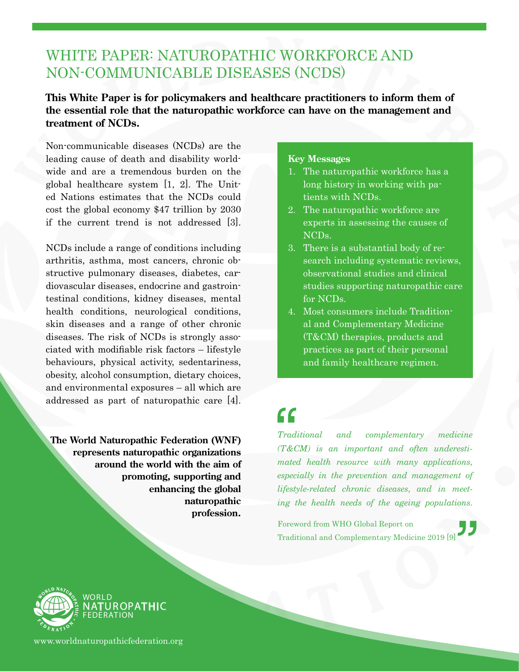### WHITE PAPER: NATUROPATHIC WORKFORCE AND NON-COMMUNICABLE DISEASES (NCDS)

#### **This White Paper is for policymakers and healthcare practitioners to inform them of the essential role that the naturopathic workforce can have on the management and treatment of NCDs.**

Non-communicable diseases (NCDs) are the leading cause of death and disability worldwide and are a tremendous burden on the global healthcare system [1, 2]. The United Nations estimates that the NCDs could cost the global economy \$47 trillion by 2030 if the current trend is not addressed [3].

NCDs include a range of conditions including arthritis, asthma, most cancers, chronic obstructive pulmonary diseases, diabetes, cardiovascular diseases, endocrine and gastrointestinal conditions, kidney diseases, mental health conditions, neurological conditions, skin diseases and a range of other chronic diseases. The risk of NCDs is strongly associated with modifiable risk factors – lifestyle behaviours, physical activity, sedentariness, obesity, alcohol consumption, dietary choices, and environmental exposures – all which are addressed as part of naturopathic care [4].

**The World Naturopathic Federation (WNF) represents naturopathic organizations around the world with the aim of promoting, supporting and enhancing the global naturopathic profession.**

#### **Key Messages**

- 1. The naturopathic workforce has a long history in working with patients with NCDs.
- 2. The naturopathic workforce are experts in assessing the causes of NCDs.
- 3. There is a substantial body of research including systematic reviews, observational studies and clinical studies supporting naturopathic care for NCDs.
- 4. Most consumers include Traditional and Complementary Medicine (T&CM) therapies, products and practices as part of their personal and family healthcare regimen.

# $\left\{ \begin{array}{c} \mathbf{C} \\ \mathbf{J} \end{array} \right.$

*lifestyle-related chronic diseases, and in meet-*<br> *ing the health needs of the ageing populations.*<br>
Foreword from WHO Global Report on  $and$  complementary medicine *(T&CM) is an important and often underestimated health resource with many applications, especially in the prevention and management of ing the health needs of the ageing populations.*

Foreword from WHO Global Report on Traditional and Complementary Medicine 2019 [9]



FEDERATION **TUROPATHIC** 

www.worldnaturopathicfederation.org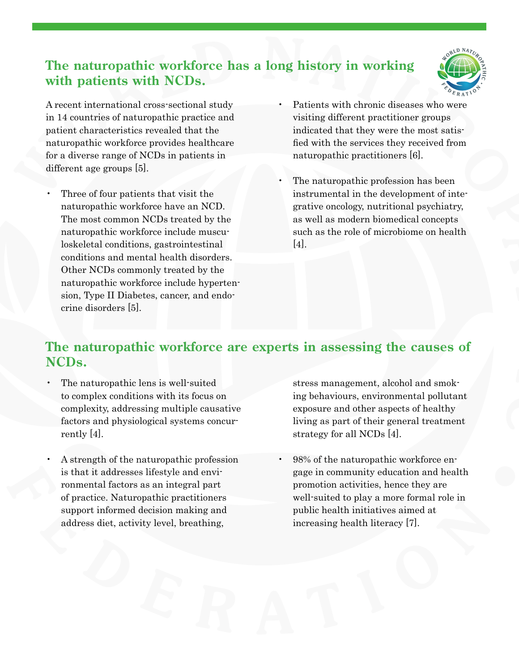### **The naturopathic workforce has a long history in working with patients with NCDs.**



A recent international cross-sectional study in 14 countries of naturopathic practice and patient characteristics revealed that the naturopathic workforce provides healthcare for a diverse range of NCDs in patients in different age groups [5].

- Three of four patients that visit the naturopathic workforce have an NCD. The most common NCDs treated by the naturopathic workforce include musculoskeletal conditions, gastrointestinal conditions and mental health disorders. Other NCDs commonly treated by the naturopathic workforce include hypertension, Type II Diabetes, cancer, and endocrine disorders [5].
- Patients with chronic diseases who were visiting different practitioner groups indicated that they were the most satisfied with the services they received from naturopathic practitioners [6].
- The naturopathic profession has been instrumental in the development of integrative oncology, nutritional psychiatry, as well as modern biomedical concepts such as the role of microbiome on health [4].

#### **The naturopathic workforce are experts in assessing the causes of NCDs.**

- The naturopathic lens is well-suited to complex conditions with its focus on complexity, addressing multiple causative factors and physiological systems concurrently [4].
- A strength of the naturopathic profession is that it addresses lifestyle and environmental factors as an integral part of practice. Naturopathic practitioners support informed decision making and address diet, activity level, breathing,

stress management, alcohol and smoking behaviours, environmental pollutant exposure and other aspects of healthy living as part of their general treatment strategy for all NCDs [4].

• 98% of the naturopathic workforce engage in community education and health promotion activities, hence they are well-suited to play a more formal role in public health initiatives aimed at increasing health literacy [7].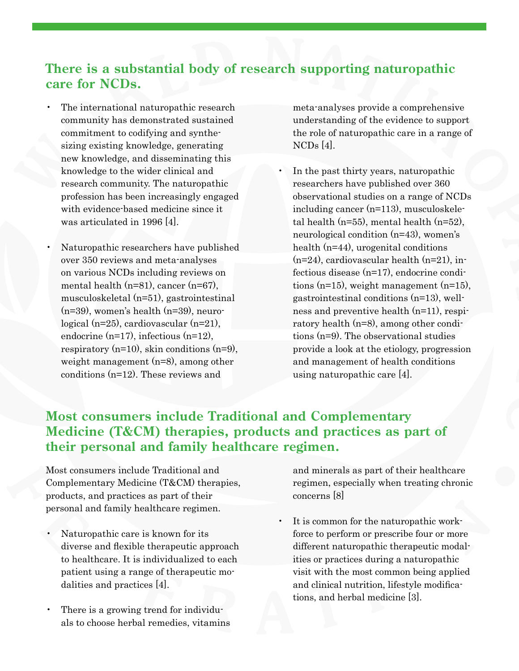#### **There is a substantial body of research supporting naturopathic care for NCDs.**

- The international naturopathic research community has demonstrated sustained commitment to codifying and synthesizing existing knowledge, generating new knowledge, and disseminating this knowledge to the wider clinical and research community. The naturopathic profession has been increasingly engaged with evidence-based medicine since it was articulated in 1996 [4].
- Naturopathic researchers have published over 350 reviews and meta-analyses on various NCDs including reviews on mental health (n=81), cancer (n=67), musculoskeletal (n=51), gastrointestinal (n=39), women's health (n=39), neurological (n=25), cardiovascular (n=21), endocrine (n=17), infectious (n=12), respiratory (n=10), skin conditions (n=9), weight management (n=8), among other conditions (n=12). These reviews and

meta-analyses provide a comprehensive understanding of the evidence to support the role of naturopathic care in a range of NCDs [4].

• In the past thirty years, naturopathic researchers have published over 360 observational studies on a range of NCDs including cancer (n=113), musculoskeletal health (n=55), mental health (n=52), neurological condition (n=43), women's health (n=44), urogenital conditions  $(n=24)$ , cardiovascular health  $(n=21)$ , infectious disease (n=17), endocrine conditions (n=15), weight management (n=15), gastrointestinal conditions (n=13), wellness and preventive health (n=11), respiratory health (n=8), among other conditions (n=9). The observational studies provide a look at the etiology, progression and management of health conditions using naturopathic care [4].

#### **Most consumers include Traditional and Complementary Medicine (T&CM) therapies, products and practices as part of their personal and family healthcare regimen.**

Most consumers include Traditional and Complementary Medicine (T&CM) therapies, products, and practices as part of their personal and family healthcare regimen.

- Naturopathic care is known for its diverse and flexible therapeutic approach to healthcare. It is individualized to each patient using a range of therapeutic modalities and practices [4].
- There is a growing trend for individuals to choose herbal remedies, vitamins

and minerals as part of their healthcare regimen, especially when treating chronic concerns [8]

It is common for the naturopathic workforce to perform or prescribe four or more different naturopathic therapeutic modalities or practices during a naturopathic visit with the most common being applied and clinical nutrition, lifestyle modifications, and herbal medicine [3].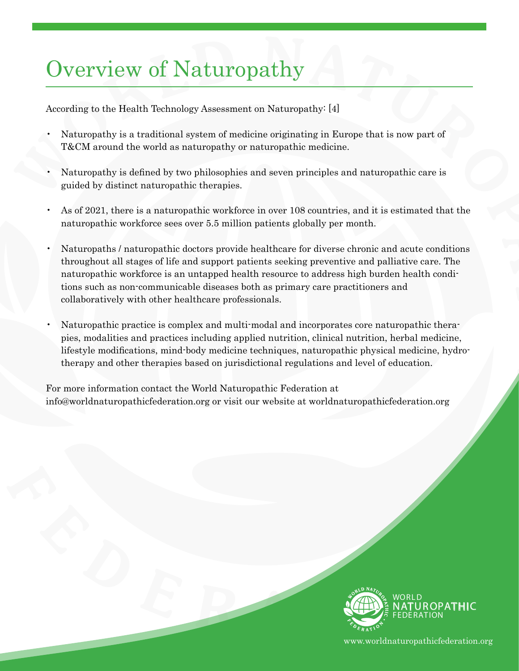## Overview of Naturopathy

According to the Health Technology Assessment on Naturopathy: [4]

- Naturopathy is a traditional system of medicine originating in Europe that is now part of T&CM around the world as naturopathy or naturopathic medicine.
- Naturopathy is defined by two philosophies and seven principles and naturopathic care is guided by distinct naturopathic therapies.
- As of 2021, there is a naturopathic workforce in over 108 countries, and it is estimated that the naturopathic workforce sees over 5.5 million patients globally per month.
- Naturopaths / naturopathic doctors provide healthcare for diverse chronic and acute conditions throughout all stages of life and support patients seeking preventive and palliative care. The naturopathic workforce is an untapped health resource to address high burden health conditions such as non-communicable diseases both as primary care practitioners and collaboratively with other healthcare professionals.
- Naturopathic practice is complex and multi-modal and incorporates core naturopathic therapies, modalities and practices including applied nutrition, clinical nutrition, herbal medicine, lifestyle modifications, mind-body medicine techniques, naturopathic physical medicine, hydrotherapy and other therapies based on jurisdictional regulations and level of education.

For more information contact the World Naturopathic Federation at info@worldnaturopathicfederation.org or visit our website at worldnaturopathicfederation.org



www.worldnaturopathicfederation.org